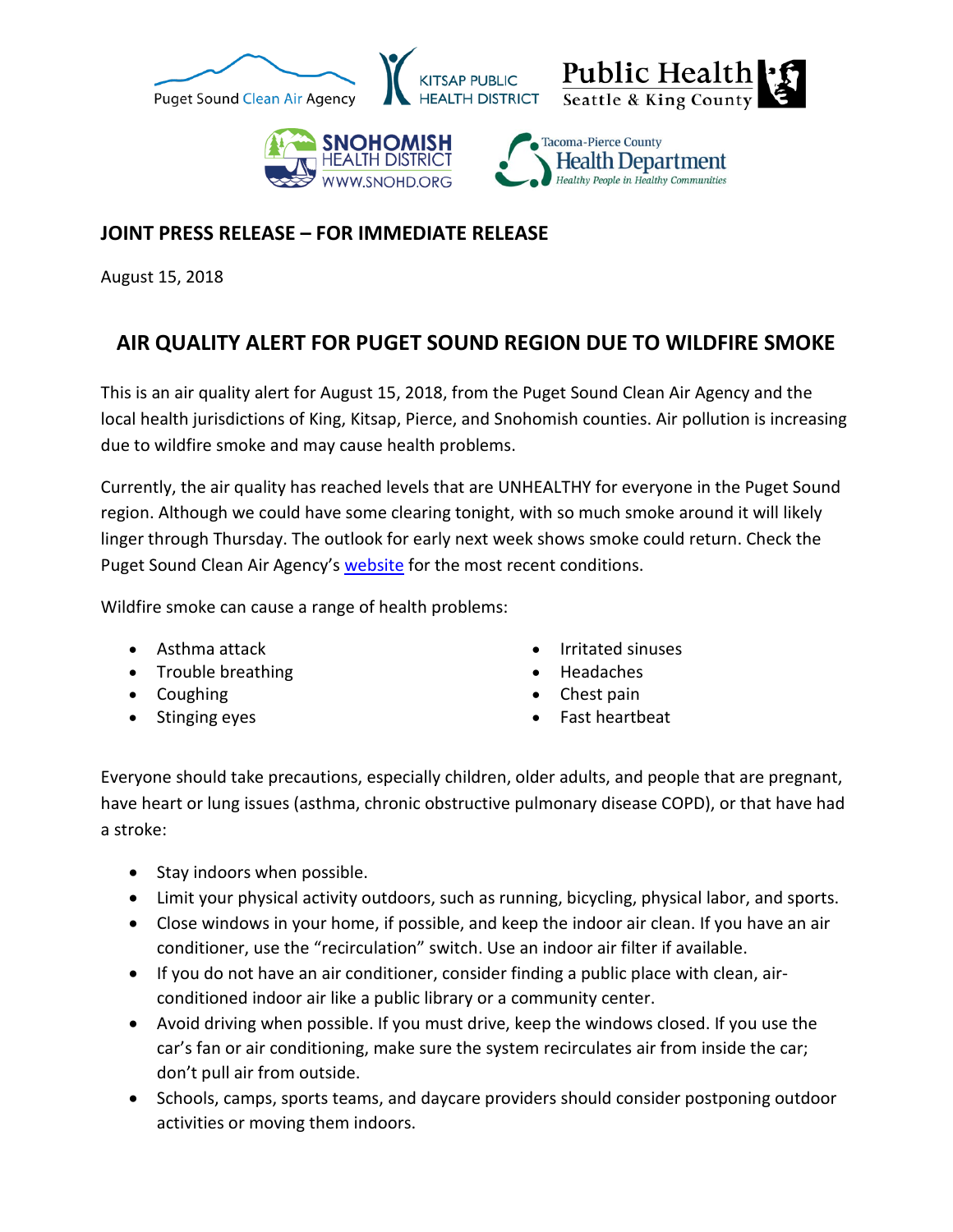

## **JOINT PRESS RELEASE – FOR IMMEDIATE RELEASE**

August 15, 2018

## **AIR QUALITY ALERT FOR PUGET SOUND REGION DUE TO WILDFIRE SMOKE**

This is an air quality alert for August 15, 2018, from the Puget Sound Clean Air Agency and the local health jurisdictions of King, Kitsap, Pierce, and Snohomish counties. Air pollution is increasing due to wildfire smoke and may cause health problems.

Currently, the air quality has reached levels that are UNHEALTHY for everyone in the Puget Sound region. Although we could have some clearing tonight, with so much smoke around it will likely linger through Thursday. The outlook for early next week shows smoke could return. Check the Puget Sound Clean Air Agency's [website](http://www.pscleanair.org/) for the most recent conditions.

Wildfire smoke can cause a range of health problems:

- Asthma attack
- Trouble breathing
- Coughing
- Stinging eyes
- Irritated sinuses
- Headaches
- Chest pain
- Fast heartbeat

Everyone should take precautions, especially children, older adults, and people that are pregnant, have heart or lung issues (asthma, chronic obstructive pulmonary disease COPD), or that have had a stroke:

- Stay indoors when possible.
- Limit your physical activity outdoors, such as running, bicycling, physical labor, and sports.
- Close windows in your home, if possible, and keep the indoor air clean. If you have an air conditioner, use the "recirculation" switch. Use an indoor air filter if available.
- If you do not have an air conditioner, consider finding a public place with clean, airconditioned indoor air like a public library or a community center.
- Avoid driving when possible. If you must drive, keep the windows closed. If you use the car's fan or air conditioning, make sure the system recirculates air from inside the car; don't pull air from outside.
- Schools, camps, sports teams, and daycare providers should consider postponing outdoor activities or moving them indoors.